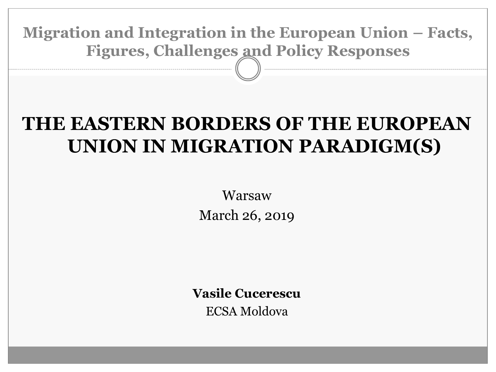**Migration and Integration in the European Union – Facts, Figures, Challenges and Policy Responses**

### **THE EASTERN BORDERS OF THE EUROPEAN UNION IN MIGRATION PARADIGM(S)**

Warsaw March 26, 2019

**Vasile Cucerescu**

ECSA Moldova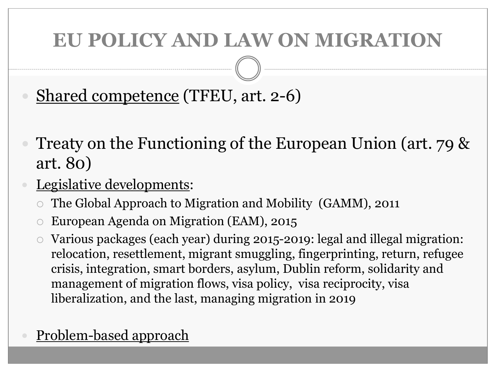### **EU POLICY AND LAW ON MIGRATION**

Shared competence (TFEU, art. 2-6)

- Treaty on the Functioning of the European Union (art. 79 & art. 80)
- Legislative developments:
	- The Global Approach to Migration and Mobility (GAMM), 2011
	- European Agenda on Migration (EAM), 2015
	- Various packages (each year) during 2015-2019: legal and illegal migration: relocation, resettlement, migrant smuggling, fingerprinting, return, refugee crisis, integration, smart borders, asylum, Dublin reform, solidarity and management of migration flows, visa policy, visa reciprocity, visa liberalization, and the last, managing migration in 2019

#### Problem-based approach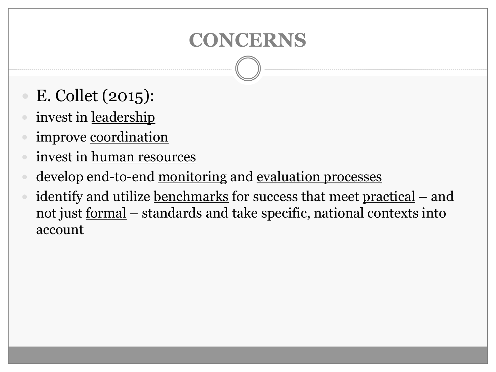## **CONCERNS**

- E. Collet (2015):
- invest in leadership
- improve coordination
- invest in human resources
- develop end-to-end monitoring and evaluation processes
- identify and utilize benchmarks for success that meet practical and not just formal – standards and take specific, national contexts into account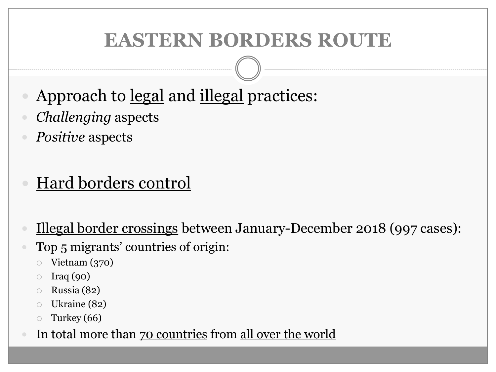## **EASTERN BORDERS ROUTE**

- Approach to legal and illegal practices:
- *Challenging* aspects
- *Positive* aspects

### Hard borders control

- Illegal border crossings between January-December 2018 (997 cases):
	- Top 5 migrants' countries of origin:
		- Vietnam (370)
		- $\circ$  Iraq (90)
		- Russia (82)
		- Ukraine (82)
		- Turkey (66)
	- In total more than 70 countries from all over the world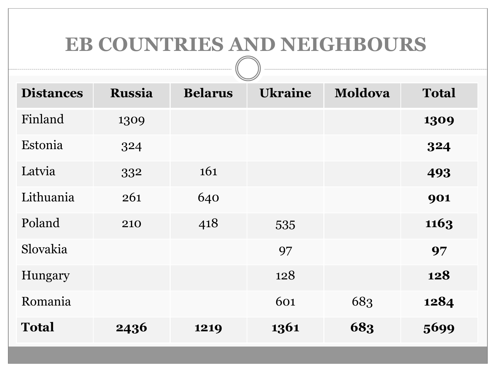#### **EB COUNTRIES AND NEIGHBOURS**

| <b>Distances</b> | <b>Russia</b> | <b>Belarus</b> | $\tilde{\phantom{a}}$<br><b>Ukraine</b> | <b>Moldova</b> | <b>Total</b> |
|------------------|---------------|----------------|-----------------------------------------|----------------|--------------|
| Finland          | 1309          |                |                                         |                | 1309         |
| Estonia          | 324           |                |                                         |                | 324          |
| Latvia           | 332           | 161            |                                         |                | 493          |
| Lithuania        | 261           | 640            |                                         |                | 901          |
| Poland           | 210           | 418            | 535                                     |                | 1163         |
| Slovakia         |               |                | 97                                      |                | 97           |
| Hungary          |               |                | 128                                     |                | 128          |
| Romania          |               |                | 601                                     | 683            | 1284         |
| <b>Total</b>     | 2436          | 1219           | 1361                                    | 683            | 5699         |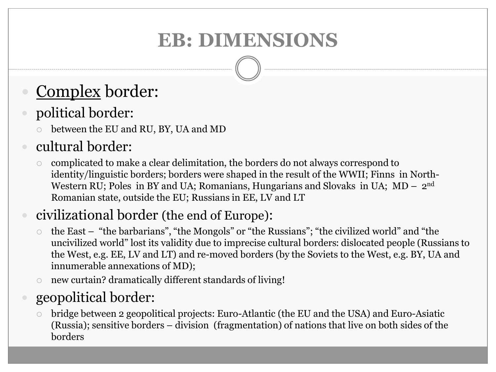# **EB: DIMENSIONS**

## Complex border:

#### political border:

between the EU and RU, BY, UA and MD

#### cultural border:

 complicated to make a clear delimitation, the borders do not always correspond to identity/linguistic borders; borders were shaped in the result of the WWII; Finns in North-Western RU; Poles in BY and UA; Romanians, Hungarians and Slovaks in UA;  $MD - 2<sup>nd</sup>$ Romanian state, outside the EU; Russians in EE, LV and LT

#### civilizational border (the end of Europe):

- the East "the barbarians", "the Mongols" or "the Russians"; "the civilized world" and "the uncivilized world" lost its validity due to imprecise cultural borders: dislocated people (Russians to the West, e.g. EE, LV and LT) and re-moved borders (by the Soviets to the West, e.g. BY, UA and innumerable annexations of MD);
- new curtain? dramatically different standards of living!

#### geopolitical border:

 bridge between 2 geopolitical projects: Euro-Atlantic (the EU and the USA) and Euro-Asiatic (Russia); sensitive borders – division (fragmentation) of nations that live on both sides of the borders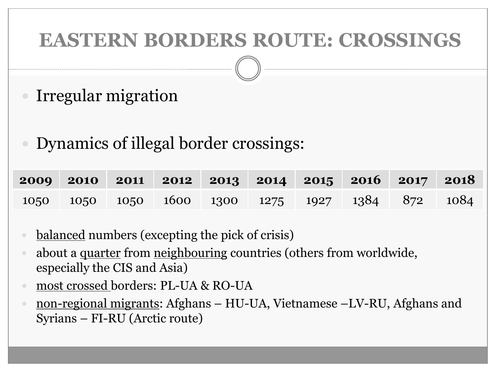## **EASTERN BORDERS ROUTE: CROSSINGS**

- Irregular migration
- Dynamics of illegal border crossings:

|  |  | 2009 2010 2011 2012 2013 2014 2015 2016 2017 2018 |  |  |
|--|--|---------------------------------------------------|--|--|
|  |  | 1050 1050 1050 1600 1300 1275 1927 1384 872 1084  |  |  |

- balanced numbers (excepting the pick of crisis)
- about a <u>quarter</u> from neighbouring countries (others from worldwide, especially the CIS and Asia)
- most crossed borders: PL-UA & RO-UA
- non-regional migrants: Afghans HU-UA, Vietnamese –LV-RU, Afghans and Syrians – FI-RU (Arctic route)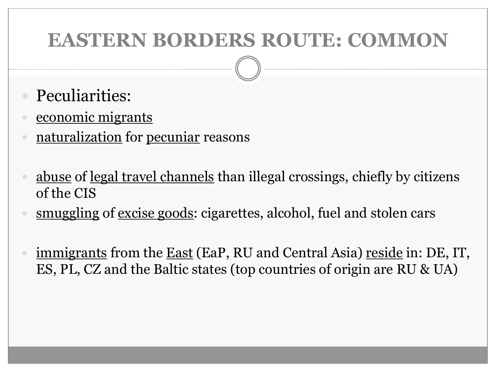### **EASTERN BORDERS ROUTE: COMMON**

- Peculiarities:
- economic migrants
- naturalization for pecuniar reasons
- abuse of legal travel channels than illegal crossings, chiefly by citizens of the CIS
- smuggling of excise goods: cigarettes, alcohol, fuel and stolen cars
- immigrants from the <u>East</u> (EaP, RU and Central Asia) <u>reside</u> in: DE, IT, ES, PL, CZ and the Baltic states (top countries of origin are RU & UA)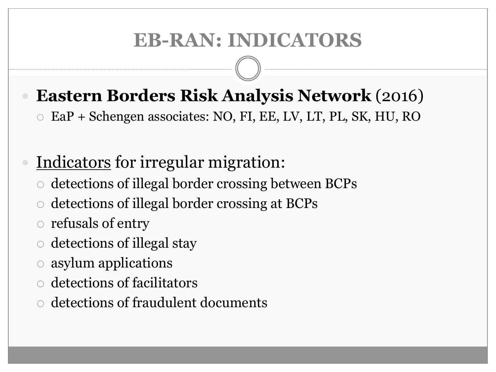## **EB-RAN: INDICATORS**

#### **Eastern Borders Risk Analysis Network** (2016)

EaP + Schengen associates: NO, FI, EE, LV, LT, PL, SK, HU, RO

# Indicators for irregular migration:

- detections of illegal border crossing between BCPs
- detections of illegal border crossing at BCPs
- $\circ$  refusals of entry
- $\circ$  detections of illegal stay
- asylum applications
- detections of facilitators
- detections of fraudulent documents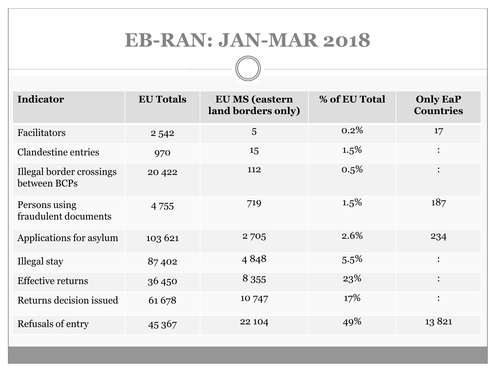#### **EB-RAN: JAN-MAR 2018**

------------

| <b>Indicator</b>                         | <b>EU Totals</b> | <b>EU MS (eastern</b><br>land borders only) | % of EU Total | <b>Only EaP</b><br><b>Countries</b> |
|------------------------------------------|------------------|---------------------------------------------|---------------|-------------------------------------|
| Facilitators                             | 2542             | 5                                           | 0.2%          | 17                                  |
| <b>Clandestine entries</b>               | 970              | 15                                          | $1.5\%$       | $\ddot{\cdot}$                      |
| Illegal border crossings<br>between BCPs | 20 4 22          | 112                                         | 0.5%          | $\ddot{\cdot}$                      |
| Persons using<br>fraudulent documents    | 4 7 5 5          | 719                                         | $1.5\%$       | 187                                 |
| Applications for asylum                  | 103 621          | 2705                                        | 2.6%          | 234                                 |
| Illegal stay                             | 87402            | 4848                                        | 5.5%          | $\ddot{\cdot}$                      |
| <b>Effective returns</b>                 | 36450            | 8 3 5 5                                     | 23%           | $\ddot{\cdot}$                      |
| Returns decision issued                  | 61678            | 10 747                                      | 17%           | $\ddot{\cdot}$                      |
| Refusals of entry                        | 45 367           | 22 104                                      | 49%           | 13821                               |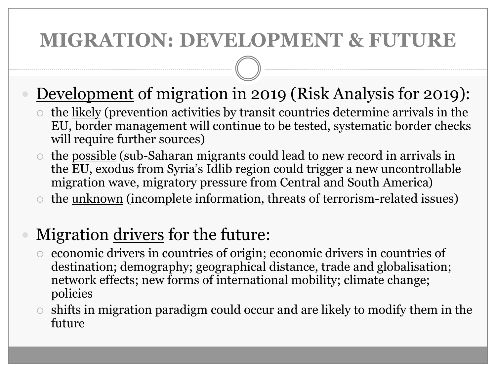## **MIGRATION: DEVELOPMENT & FUTURE**

#### Development of migration in 2019 (Risk Analysis for 2019):

- $\circ$  the <u>likely</u> (prevention activities by transit countries determine arrivals in the EU, border management will continue to be tested, systematic border checks will require further sources)
- $\circ$  the <u>possible</u> (sub-Saharan migrants could lead to new record in arrivals in the EU, exodus from Syria's Idlib region could trigger a new uncontrollable migration wave, migratory pressure from Central and South America)
- $\circ$  the <u>unknown</u> (incomplete information, threats of terrorism-related issues)

#### Migration drivers for the future:

- economic drivers in countries of origin; economic drivers in countries of destination; demography; geographical distance, trade and globalisation; network effects; new forms of international mobility; climate change; policies
- $\circ$  shifts in migration paradigm could occur and are likely to modify them in the future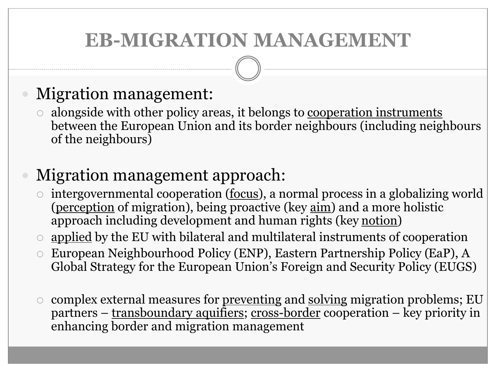## **EB-MIGRATION MANAGEMENT**

#### Migration management:

 alongside with other policy areas, it belongs to cooperation instruments between the European Union and its border neighbours (including neighbours of the neighbours)

#### Migration management approach:

- intergovernmental cooperation (focus), a normal process in a globalizing world (perception of migration), being proactive (key aim) and a more holistic approach including development and human rights (key notion)
- $\circ$  applied by the EU with bilateral and multilateral instruments of cooperation
- European Neighbourhood Policy (ENP), Eastern Partnership Policy (EaP), A Global Strategy for the European Union's Foreign and Security Policy (EUGS)
- complex external measures for preventing and solving migration problems; EU partners – transboundary aquifiers; cross-border cooperation – key priority in enhancing border and migration management